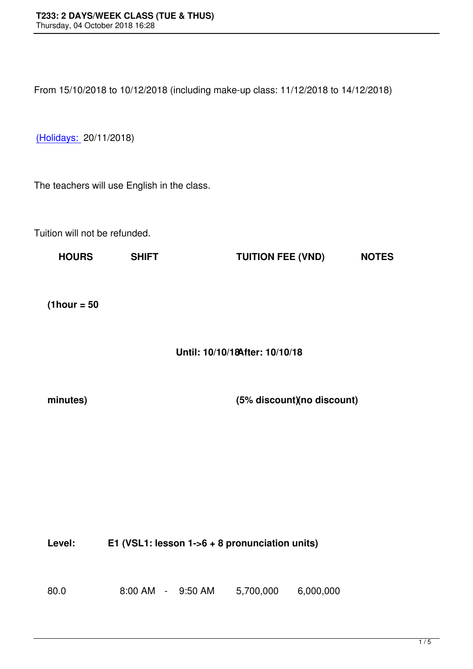From 15/10/2018 to 10/12/2018 (including make-up class: 11/12/2018 to 14/12/2018)

(Holidays: 20/11/2018)

[The teache](file:///E:/Vietnamese/kh%C3%B3a%20h%E1%BB%8Dc/www.vns.edu.vn)rs will use English in the class.

Tuition will not be refunded.

| <b>HOURS</b>   | <b>SHIFT</b> | <b>TUITION FEE (VND)</b>        | <b>NOTES</b> |
|----------------|--------------|---------------------------------|--------------|
|                |              |                                 |              |
|                |              |                                 |              |
|                |              |                                 |              |
|                |              |                                 |              |
| $(1$ hour = 50 |              |                                 |              |
|                |              |                                 |              |
|                |              |                                 |              |
|                |              |                                 |              |
|                |              | Until: 10/10/18 After: 10/10/18 |              |
|                |              |                                 |              |
|                |              |                                 |              |

**minutes) (5% discount) (6% discount)** 

| Level: | E1 (VSL1: lesson $1-6 + 8$ pronunciation units) |           |           |  |
|--------|-------------------------------------------------|-----------|-----------|--|
| 80.0   | $8:00$ AM $-$ 9:50 AM                           | 5,700,000 | 6.000.000 |  |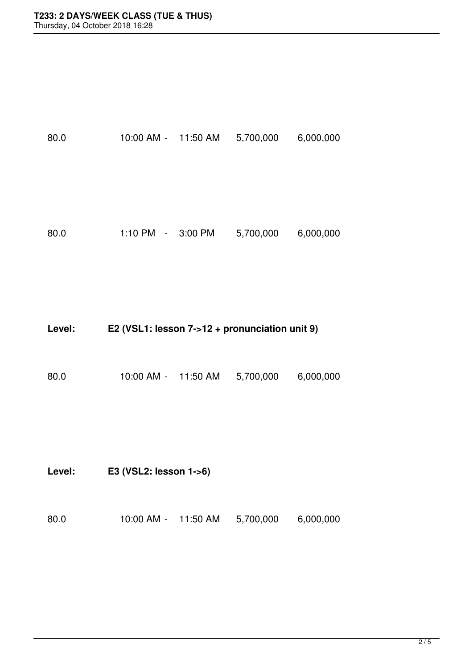80.0 10:00 AM - 11:50 AM 5,700,000 6,000,000

80.0 1:10 PM - 3:00 PM 5,700,000 6,000,000

| Level: | E2 (VSL1: lesson 7->12 + pronunciation unit 9) |
|--------|------------------------------------------------|
|--------|------------------------------------------------|

80.0 10:00 AM - 11:50 AM 5,700,000 6,000,000

**Level: E3 (VSL2: lesson 1->6)**

| 5,700,000<br>11:50 AM<br>6,000,000 |
|------------------------------------|
|                                    |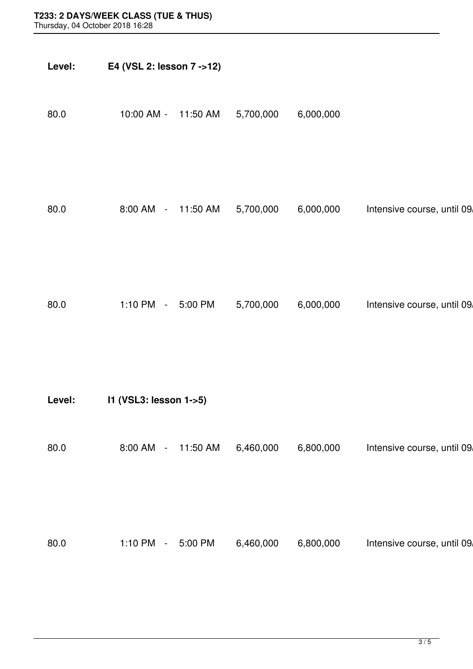| Level: | E4 (VSL 2: lesson 7 ->12) |           |           |                             |
|--------|---------------------------|-----------|-----------|-----------------------------|
| 80.0   | 10:00 AM -<br>11:50 AM    | 5,700,000 | 6,000,000 |                             |
| 80.0   | 8:00 AM -<br>11:50 AM     | 5,700,000 | 6,000,000 | Intensive course, until 09, |
| 80.0   | 1:10 PM $-$<br>5:00 PM    | 5,700,000 | 6,000,000 | Intensive course, until 09, |
| Level: | I1 (VSL3: lesson 1->5)    |           |           |                             |
| 80.0   | 8:00 AM -<br>11:50 AM     | 6,460,000 | 6,800,000 | Intensive course, until 09, |
| 80.0   | 1:10 PM - 5:00 PM         | 6,460,000 | 6,800,000 | Intensive course, until 09, |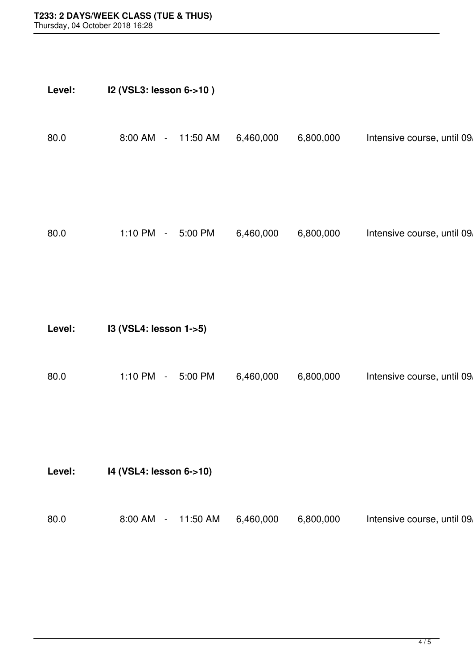| Level: | I2 (VSL3: lesson 6->10)                            |           |           |                             |
|--------|----------------------------------------------------|-----------|-----------|-----------------------------|
| 80.0   | 8:00 AM<br>11:50 AM<br>$\mathcal{L}_{\mathcal{A}}$ | 6,460,000 | 6,800,000 | Intensive course, until 09, |
| 80.0   | 1:10 PM $-$<br>5:00 PM                             | 6,460,000 | 6,800,000 | Intensive course, until 09, |
| Level: | I3 (VSL4: lesson 1->5)                             |           |           |                             |
| 80.0   | 1:10 PM $-$<br>5:00 PM                             | 6,460,000 | 6,800,000 | Intensive course, until 09, |
|        |                                                    |           |           |                             |

**Level: I4 (VSL4: lesson 6->10)**

| 80.0 | 8:00 AM | $-11:50$ AM | 6,460,000 | 6,800,000 | Intensive course, until 09, |
|------|---------|-------------|-----------|-----------|-----------------------------|
|      |         |             |           |           |                             |